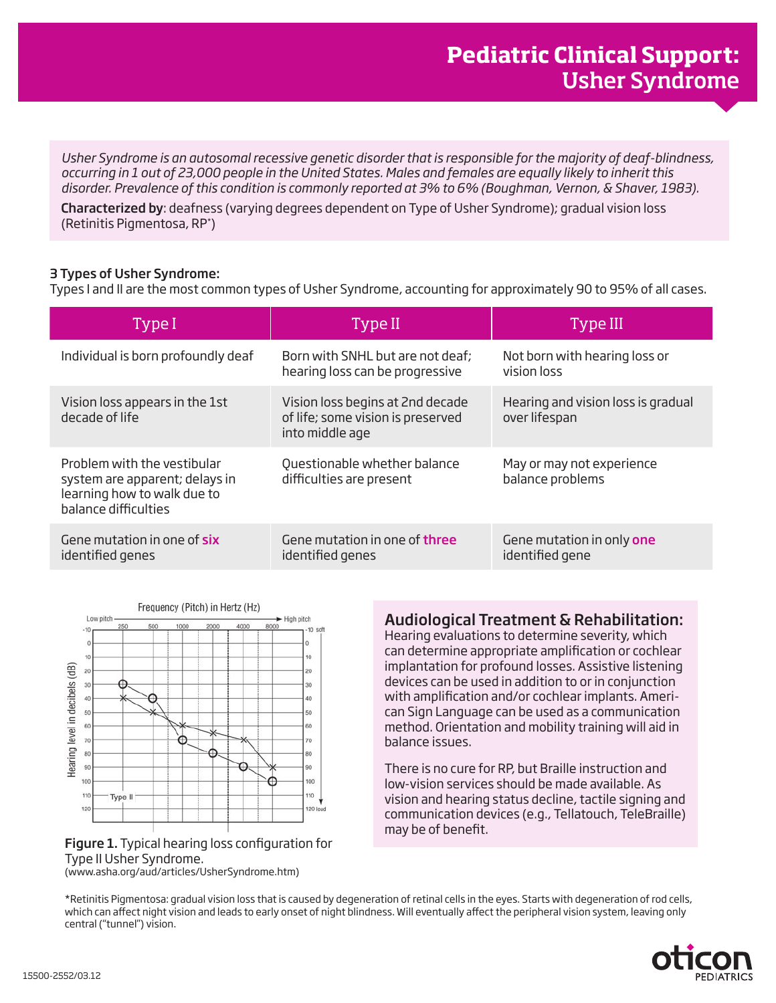*Usher Syndrome is an autosomal recessive genetic disorder that is responsible for the majority of deaf-blindness, occurring in 1 out of 23,000 people in the United States. Males and females are equally likely to inherit this disorder. Prevalence of this condition is commonly reported at 3% to 6% (Boughman, Vernon, & Shaver, 1983).* 

Characterized by: deafness (varying degrees dependent on Type of Usher Syndrome); gradual vision loss (Retinitis Pigmentosa, RP\* )

## 3 Types of Usher Syndrome:

Types I and II are the most common types of Usher Syndrome, accounting for approximately 90 to 95% of all cases.

| Type I                                                                                                               | Type II                                                                                  | Type III                                            |
|----------------------------------------------------------------------------------------------------------------------|------------------------------------------------------------------------------------------|-----------------------------------------------------|
| Individual is born profoundly deaf                                                                                   | Born with SNHL but are not deaf;<br>hearing loss can be progressive                      | Not born with hearing loss or<br>vision loss        |
| Vision loss appears in the 1st<br>decade of life                                                                     | Vision loss begins at 2nd decade<br>of life; some vision is preserved<br>into middle age | Hearing and vision loss is gradual<br>over lifespan |
| Problem with the vestibular<br>system are apparent; delays in<br>learning how to walk due to<br>balance difficulties | Questionable whether balance<br>difficulties are present                                 | May or may not experience<br>balance problems       |
| Gene mutation in one of six<br>identified genes                                                                      | Gene mutation in one of <b>three</b><br>identified genes                                 | Gene mutation in only one<br>identified gene        |



## Audiological Treatment & Rehabilitation:

Hearing evaluations to determine severity, which can determine appropriate amplification or cochlear implantation for profound losses. Assistive listening devices can be used in addition to or in conjunction with amplification and/or cochlear implants. American Sign Language can be used as a communication method. Orientation and mobility training will aid in balance issues.

There is no cure for RP, but Braille instruction and low-vision services should be made available. As vision and hearing status decline, tactile signing and communication devices (e.g., Tellatouch, TeleBraille) may be of benefit.

Figure 1. Typical hearing loss configuration for Type II Usher Syndrome.

(www.asha.org/aud/articles/UsherSyndrome.htm)

\*Retinitis Pigmentosa: gradual vision loss that is caused by degeneration of retinal cells in the eyes. Starts with degeneration of rod cells, which can affect night vision and leads to early onset of night blindness. Will eventually affect the peripheral vision system, leaving only central ("tunnel") vision.